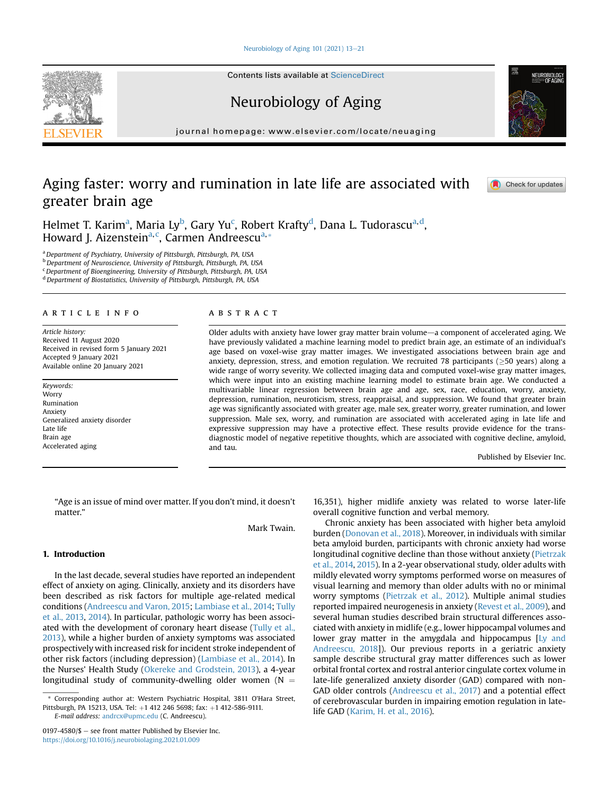### [Neurobiology of Aging 101 \(2021\) 13](https://doi.org/10.1016/j.neurobiolaging.2021.01.009)-[21](https://doi.org/10.1016/j.neurobiolaging.2021.01.009)

Contents lists available at ScienceDirect

# Neurobiology of Aging

journal homepage: [www.elsevier.com/locate/neuaging](http://www.elsevier.com/locate/neuaging)

# Aging faster: worry and rumination in late life are associated with greater brain age

Helmet T. K[a](#page-0-0)rim<sup>a</sup>, Maria Ly<sup>[b](#page-0-1)</sup>, Gary Yu<sup>c</sup>, Robert Krafty<sup>[d](#page-0-3)</sup>, Dana L. Tudorascu<sup>a,d</sup>, Howard J. Aizenstein<sup>[a,](#page-0-0) [c](#page-0-2)</sup>, C[a](#page-0-0)rmen Andreescu<sup>a,[\\*](#page-0-4)</sup>

<span id="page-0-3"></span><span id="page-0-2"></span><span id="page-0-1"></span><span id="page-0-0"></span><sup>a</sup> Department of Psychiatry, University of Pittsburgh, Pittsburgh, PA, USA b Department of Neuroscience, University of Pittsburgh, Pittsburgh, PA, USA  $c$ Department of Bioengineering, University of Pittsburgh, Pittsburgh, PA, USA <sup>d</sup> Department of Biostatistics, University of Pittsburgh, Pittsburgh, PA, USA

## article info

Article history: Received 11 August 2020 Received in revised form 5 January 2021 Accepted 9 January 2021 Available online 20 January 2021

Keywords: **Worry** Rumination Anxiety Generalized anxiety disorder Late life Brain age Accelerated aging

## **ABSTRACT**

Older adults with anxiety have lower gray matter brain volume—a component of accelerated aging. We have previously validated a machine learning model to predict brain age, an estimate of an individual's age based on voxel-wise gray matter images. We investigated associations between brain age and anxiety, depression, stress, and emotion regulation. We recruited 78 participants ( $\geq$ 50 years) along a wide range of worry severity. We collected imaging data and computed voxel-wise gray matter images, which were input into an existing machine learning model to estimate brain age. We conducted a multivariable linear regression between brain age and age, sex, race, education, worry, anxiety, depression, rumination, neuroticism, stress, reappraisal, and suppression. We found that greater brain age was significantly associated with greater age, male sex, greater worry, greater rumination, and lower suppression. Male sex, worry, and rumination are associated with accelerated aging in late life and expressive suppression may have a protective effect. These results provide evidence for the transdiagnostic model of negative repetitive thoughts, which are associated with cognitive decline, amyloid, and tau.

Published by Elsevier Inc.

"Age is an issue of mind over matter. If you don't mind, it doesn't matter."

Mark Twain.

# 1. Introduction

In the last decade, several studies have reported an independent effect of anxiety on aging. Clinically, anxiety and its disorders have been described as risk factors for multiple age-related medical conditions [\(Andreescu and Varon, 2015](#page-6-0); [Lambiase et al., 2014;](#page-7-0) [Tully](#page-8-0) [et al., 2013,](#page-8-0) [2014](#page-8-1)). In particular, pathologic worry has been associated with the development of coronary heart disease [\(Tully et al.,](#page-8-0) [2013\)](#page-8-0), while a higher burden of anxiety symptoms was associated prospectively with increased risk for incident stroke independent of other risk factors (including depression) [\(Lambiase et al., 2014](#page-7-0)). In the Nurses' Health Study ([Okereke and Grodstein, 2013\)](#page-7-1), a 4-year longitudinal study of community-dwelling older women ( $N =$ 

E-mail address: [andrcx@upmc.edu](mailto:andrcx@upmc.edu) (C. Andreescu).

16,351), higher midlife anxiety was related to worse later-life overall cognitive function and verbal memory.

Chronic anxiety has been associated with higher beta amyloid burden [\(Donovan et al., 2018](#page-7-2)). Moreover, in individuals with similar beta amyloid burden, participants with chronic anxiety had worse longitudinal cognitive decline than those without anxiety [\(Pietrzak](#page-7-3) [et al., 2014,](#page-7-3) [2015\)](#page-7-4). In a 2-year observational study, older adults with mildly elevated worry symptoms performed worse on measures of visual learning and memory than older adults with no or minimal worry symptoms ([Pietrzak et al., 2012\)](#page-7-5). Multiple animal studies reported impaired neurogenesis in anxiety [\(Revest et al., 2009](#page-8-2)), and several human studies described brain structural differences associated with anxiety in midlife (e.g., lower hippocampal volumes and lower gray matter in the amygdala and hippocampus [[Ly and](#page-7-6) [Andreescu, 2018\]](#page-7-6)). Our previous reports in a geriatric anxiety sample describe structural gray matter differences such as lower orbital frontal cortex and rostral anterior cingulate cortex volume in late-life generalized anxiety disorder (GAD) compared with non-GAD older controls [\(Andreescu et al., 2017\)](#page-6-1) and a potential effect of cerebrovascular burden in impairing emotion regulation in latelife GAD ([Karim, H. et al., 2016\)](#page-7-7).





Check for updates

<span id="page-0-4"></span>Corresponding author at: Western Psychiatric Hospital, 3811 O'Hara Street, Pittsburgh, PA 15213, USA. Tel: +1 412 246 5698; fax: +1 412-586-9111.

 $0197-4580/\$  = see front matter Published by Elsevier Inc. <https://doi.org/10.1016/j.neurobiolaging.2021.01.009>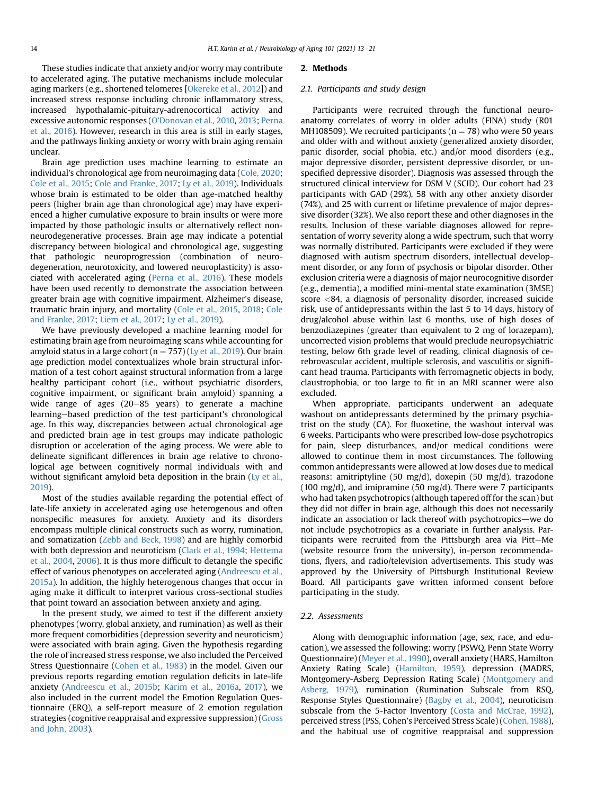These studies indicate that anxiety and/or worry may contribute to accelerated aging. The putative mechanisms include molecular aging markers (e.g., shortened telomeres [[Okereke et al., 2012\]](#page-7-8)) and increased stress response including chronic inflammatory stress, increased hypothalamic-pituitary-adrenocortical activity and excessive autonomic responses [\(O'Donovan et al., 2010,](#page-7-9) [2013;](#page-7-10) [Perna](#page-7-11) [et al., 2016\)](#page-7-11). However, research in this area is still in early stages, and the pathways linking anxiety or worry with brain aging remain unclear.

Brain age prediction uses machine learning to estimate an individual's chronological age from neuroimaging data ([Cole, 2020;](#page-7-12) [Cole et al., 2015](#page-7-13); [Cole and Franke, 2017;](#page-7-14) [Ly et al., 2019\)](#page-7-15). Individuals whose brain is estimated to be older than age-matched healthy peers (higher brain age than chronological age) may have experienced a higher cumulative exposure to brain insults or were more impacted by those pathologic insults or alternatively reflect nonneurodegenerative processes. Brain age may indicate a potential discrepancy between biological and chronological age, suggesting that pathologic neuroprogression (combination of neurodegeneration, neurotoxicity, and lowered neuroplasticity) is associated with accelerated aging [\(Perna et al., 2016](#page-7-11)). These models have been used recently to demonstrate the association between greater brain age with cognitive impairment, Alzheimer's disease, traumatic brain injury, and mortality ([Cole et al., 2015](#page-7-13), [2018;](#page-7-16) [Cole](#page-7-14) [and Franke, 2017](#page-7-14); [Liem et al., 2017](#page-7-17); [Ly et al., 2019](#page-7-15)).

We have previously developed a machine learning model for estimating brain age from neuroimaging scans while accounting for amyloid status in a large cohort ( $n = 757$ ) [\(Ly et al., 2019](#page-7-15)). Our brain age prediction model contextualizes whole brain structural information of a test cohort against structural information from a large healthy participant cohort (i.e., without psychiatric disorders, cognitive impairment, or significant brain amyloid) spanning a wide range of ages  $(20-85 \text{ years})$  to generate a machine learning-based prediction of the test participant's chronological age. In this way, discrepancies between actual chronological age and predicted brain age in test groups may indicate pathologic disruption or acceleration of the aging process. We were able to delineate significant differences in brain age relative to chronological age between cognitively normal individuals with and without significant amyloid beta deposition in the brain [\(Ly et al.,](#page-7-15) [2019](#page-7-15)).

Most of the studies available regarding the potential effect of late-life anxiety in accelerated aging use heterogenous and often nonspecific measures for anxiety. Anxiety and its disorders encompass multiple clinical constructs such as worry, rumination, and somatization [\(Zebb and Beck, 1998](#page-8-3)) and are highly comorbid with both depression and neuroticism [\(Clark et al., 1994;](#page-7-18) [Hettema](#page-7-19) [et al., 2004](#page-7-19), [2006](#page-7-20)). It is thus more difficult to detangle the specific effect of various phenotypes on accelerated aging [\(Andreescu et al.,](#page-6-2) [2015a\)](#page-6-2). In addition, the highly heterogenous changes that occur in aging make it difficult to interpret various cross-sectional studies that point toward an association between anxiety and aging.

In the present study, we aimed to test if the different anxiety phenotypes (worry, global anxiety, and rumination) as well as their more frequent comorbidities (depression severity and neuroticism) were associated with brain aging. Given the hypothesis regarding the role of increased stress response, we also included the Perceived Stress Questionnaire [\(Cohen et al., 1983](#page-7-21)) in the model. Given our previous reports regarding emotion regulation deficits in late-life anxiety ([Andreescu et al., 2015b;](#page-6-3) [Karim et al., 2016a](#page-7-7), [2017\)](#page-7-22), we also included in the current model the Emotion Regulation Questionnaire (ERQ), a self-report measure of 2 emotion regulation strategies (cognitive reappraisal and expressive suppression) ([Gross](#page-7-23) [and John, 2003\)](#page-7-23).

#### 2. Methods

#### 2.1. Participants and study design

Participants were recruited through the functional neuroanatomy correlates of worry in older adults (FINA) study (R01 MH108509). We recruited participants ( $n = 78$ ) who were 50 years and older with and without anxiety (generalized anxiety disorder, panic disorder, social phobia, etc.) and/or mood disorders (e.g., major depressive disorder, persistent depressive disorder, or unspecified depressive disorder). Diagnosis was assessed through the structured clinical interview for DSM V (SCID). Our cohort had 23 participants with GAD (29%), 58 with any other anxiety disorder (74%), and 25 with current or lifetime prevalence of major depressive disorder (32%). We also report these and other diagnoses in the results. Inclusion of these variable diagnoses allowed for representation of worry severity along a wide spectrum, such that worry was normally distributed. Participants were excluded if they were diagnosed with autism spectrum disorders, intellectual development disorder, or any form of psychosis or bipolar disorder. Other exclusion criteria were a diagnosis of major neurocognitive disorder (e.g., dementia), a modified mini-mental state examination (3MSE) score <84, a diagnosis of personality disorder, increased suicide risk, use of antidepressants within the last 5 to 14 days, history of drug/alcohol abuse within last 6 months, use of high doses of benzodiazepines (greater than equivalent to 2 mg of lorazepam), uncorrected vision problems that would preclude neuropsychiatric testing, below 6th grade level of reading, clinical diagnosis of cerebrovascular accident, multiple sclerosis, and vasculitis or significant head trauma. Participants with ferromagnetic objects in body, claustrophobia, or too large to fit in an MRI scanner were also excluded.

When appropriate, participants underwent an adequate washout on antidepressants determined by the primary psychiatrist on the study (CA). For fluoxetine, the washout interval was 6 weeks. Participants who were prescribed low-dose psychotropics for pain, sleep disturbances, and/or medical conditions were allowed to continue them in most circumstances. The following common antidepressants were allowed at low doses due to medical reasons: amitriptyline (50 mg/d), doxepin (50 mg/d), trazodone (100 mg/d), and imipramine (50 mg/d). There were 7 participants who had taken psychotropics (although tapered off for the scan) but they did not differ in brain age, although this does not necessarily indicate an association or lack thereof with psychotropics-we do not include psychotropics as a covariate in further analysis. Participants were recruited from the Pittsburgh area via Pitt $+$ Me (website resource from the university), in-person recommendations, flyers, and radio/television advertisements. This study was approved by the University of Pittsburgh Institutional Review Board. All participants gave written informed consent before participating in the study.

## 2.2. Assessments

Along with demographic information (age, sex, race, and education), we assessed the following: worry (PSWQ, Penn State Worry Questionnaire) ([Meyer et al., 1990\)](#page-7-24), overall anxiety (HARS, Hamilton Anxiety Rating Scale) ([Hamilton, 1959](#page-7-25)), depression (MADRS, Montgomery-Asberg Depression Rating Scale) ([Montgomery and](#page-7-26) [Asberg, 1979\)](#page-7-26), rumination (Rumination Subscale from RSQ, Response Styles Questionnaire) [\(Bagby et al., 2004\)](#page-6-4), neuroticism subscale from the 5-Factor Inventory [\(Costa and McCrae, 1992\)](#page-7-27), perceived stress (PSS, Cohen's Perceived Stress Scale) [\(Cohen, 1988\)](#page-7-28), and the habitual use of cognitive reappraisal and suppression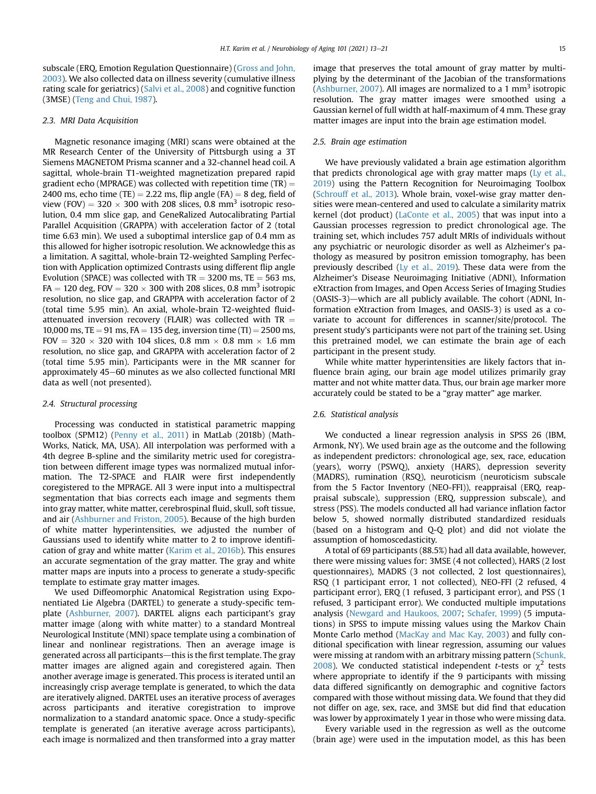subscale (ERQ, Emotion Regulation Questionnaire) [\(Gross and John,](#page-7-23) [2003\)](#page-7-23). We also collected data on illness severity (cumulative illness rating scale for geriatrics) ([Salvi et al., 2008\)](#page-8-4) and cognitive function (3MSE) [\(Teng and Chui, 1987\)](#page-8-5).

## 2.3. MRI Data Acquisition

Magnetic resonance imaging (MRI) scans were obtained at the MR Research Center of the University of Pittsburgh using a 3T Siemens MAGNETOM Prisma scanner and a 32-channel head coil. A sagittal, whole-brain T1-weighted magnetization prepared rapid gradient echo (MPRAGE) was collected with repetition time  $(TR) =$ 2400 ms, echo time (TE) = 2.22 ms, flip angle (FA) = 8 deg, field of view (FOV) =  $320 \times 300$  with 208 slices, 0.8 mm<sup>3</sup> isotropic resolution, 0.4 mm slice gap, and GeneRalized Autocalibrating Partial Parallel Acquisition (GRAPPA) with acceleration factor of 2 (total time 6.63 min). We used a suboptimal interslice gap of 0.4 mm as this allowed for higher isotropic resolution. We acknowledge this as a limitation. A sagittal, whole-brain T2-weighted Sampling Perfection with Application optimized Contrasts using different flip angle Evolution (SPACE) was collected with  $TR = 3200$  ms,  $TE = 563$  ms, FA  $=$  120 deg, FOV  $=$  320  $\times$  300 with 208 slices, 0.8 mm<sup>3</sup> isotropic resolution, no slice gap, and GRAPPA with acceleration factor of 2 (total time 5.95 min). An axial, whole-brain T2-weighted fluidattenuated inversion recovery (FLAIR) was collected with  $TR =$ 10,000 ms, TE = 91 ms, FA = 135 deg, inversion time  $(TI) = 2500$  ms, FOV = 320  $\times$  320 with 104 slices, 0.8 mm  $\times$  0.8 mm  $\times$  1.6 mm resolution, no slice gap, and GRAPPA with acceleration factor of 2 (total time 5.95 min). Participants were in the MR scanner for approximately 45–60 minutes as we also collected functional MRI data as well (not presented).

#### 2.4. Structural processing

Processing was conducted in statistical parametric mapping toolbox (SPM12) ([Penny et al., 2011\)](#page-7-29) in MatLab (2018b) (Math-Works, Natick, MA, USA). All interpolation was performed with a 4th degree B-spline and the similarity metric used for coregistration between different image types was normalized mutual information. The T2-SPACE and FLAIR were first independently coregistered to the MPRAGE. All 3 were input into a multispectral segmentation that bias corrects each image and segments them into gray matter, white matter, cerebrospinal fluid, skull, soft tissue, and air ([Ashburner and Friston, 2005\)](#page-6-5). Because of the high burden of white matter hyperintensities, we adjusted the number of Gaussians used to identify white matter to 2 to improve identification of gray and white matter ([Karim et al., 2016b\)](#page-7-30). This ensures an accurate segmentation of the gray matter. The gray and white matter maps are inputs into a process to generate a study-specific template to estimate gray matter images.

We used Diffeomorphic Anatomical Registration using Exponentiated Lie Algebra (DARTEL) to generate a study-specific template ([Ashburner, 2007\)](#page-6-6). DARTEL aligns each participant's gray matter image (along with white matter) to a standard Montreal Neurological Institute (MNI) space template using a combination of linear and nonlinear registrations. Then an average image is generated across all participants-this is the first template. The gray matter images are aligned again and coregistered again. Then another average image is generated. This process is iterated until an increasingly crisp average template is generated, to which the data are iteratively aligned. DARTEL uses an iterative process of averages across participants and iterative coregistration to improve normalization to a standard anatomic space. Once a study-specific template is generated (an iterative average across participants), each image is normalized and then transformed into a gray matter

image that preserves the total amount of gray matter by multiplying by the determinant of the Jacobian of the transformations [\(Ashburner, 2007\)](#page-6-6). All images are normalized to a 1 mm<sup>3</sup> isotropic resolution. The gray matter images were smoothed using a Gaussian kernel of full width at half-maximum of 4 mm. These gray matter images are input into the brain age estimation model.

## 2.5. Brain age estimation

We have previously validated a brain age estimation algorithm that predicts chronological age with gray matter maps [\(Ly et al.,](#page-7-15) [2019](#page-7-15)) using the Pattern Recognition for Neuroimaging Toolbox [\(Schrouff et al., 2013](#page-8-6)). Whole brain, voxel-wise gray matter densities were mean-centered and used to calculate a similarity matrix kernel (dot product) [\(LaConte et al., 2005\)](#page-7-31) that was input into a Gaussian processes regression to predict chronological age. The training set, which includes 757 adult MRIs of individuals without any psychiatric or neurologic disorder as well as Alzheimer's pathology as measured by positron emission tomography, has been previously described [\(Ly et al., 2019](#page-7-15)). These data were from the Alzheimer's Disease Neuroimaging Initiative (ADNI), Information eXtraction from Images, and Open Access Series of Imaging Studies  $(OASIS-3)$ —which are all publicly available. The cohort (ADNI, Information eXtraction from Images, and OASIS-3) is used as a covariate to account for differences in scanner/site/protocol. The present study's participants were not part of the training set. Using this pretrained model, we can estimate the brain age of each participant in the present study.

While white matter hyperintensities are likely factors that influence brain aging, our brain age model utilizes primarily gray matter and not white matter data. Thus, our brain age marker more accurately could be stated to be a "gray matter" age marker.

#### 2.6. Statistical analysis

We conducted a linear regression analysis in SPSS 26 (IBM, Armonk, NY). We used brain age as the outcome and the following as independent predictors: chronological age, sex, race, education (years), worry (PSWQ), anxiety (HARS), depression severity (MADRS), rumination (RSQ), neuroticism (neuroticism subscale from the 5 Factor Inventory (NEO-FFI)), reappraisal (ERQ, reappraisal subscale), suppression (ERQ, suppression subscale), and stress (PSS). The models conducted all had variance inflation factor below 5, showed normally distributed standardized residuals (based on a histogram and Q-Q plot) and did not violate the assumption of homoscedasticity.

A total of 69 participants (88.5%) had all data available, however, there were missing values for: 3MSE (4 not collected), HARS (2 lost questionnaires), MADRS (3 not collected, 2 lost questionnaires), RSQ (1 participant error, 1 not collected), NEO-FFI (2 refused, 4 participant error), ERQ (1 refused, 3 participant error), and PSS (1 refused, 3 participant error). We conducted multiple imputations analysis [\(Newgard and Haukoos, 2007;](#page-7-32) [Schafer, 1999](#page-8-7)) (5 imputations) in SPSS to impute missing values using the Markov Chain Monte Carlo method ([MacKay and Mac Kay, 2003](#page-7-33)) and fully conditional specification with linear regression, assuming our values were missing at random with an arbitrary missing pattern [\(Schunk,](#page-8-8) [2008](#page-8-8)). We conducted statistical independent *t*-tests or  $\chi^2$  tests where appropriate to identify if the 9 participants with missing data differed significantly on demographic and cognitive factors compared with those without missing data. We found that they did not differ on age, sex, race, and 3MSE but did find that education was lower by approximately 1 year in those who were missing data.

Every variable used in the regression as well as the outcome (brain age) were used in the imputation model, as this has been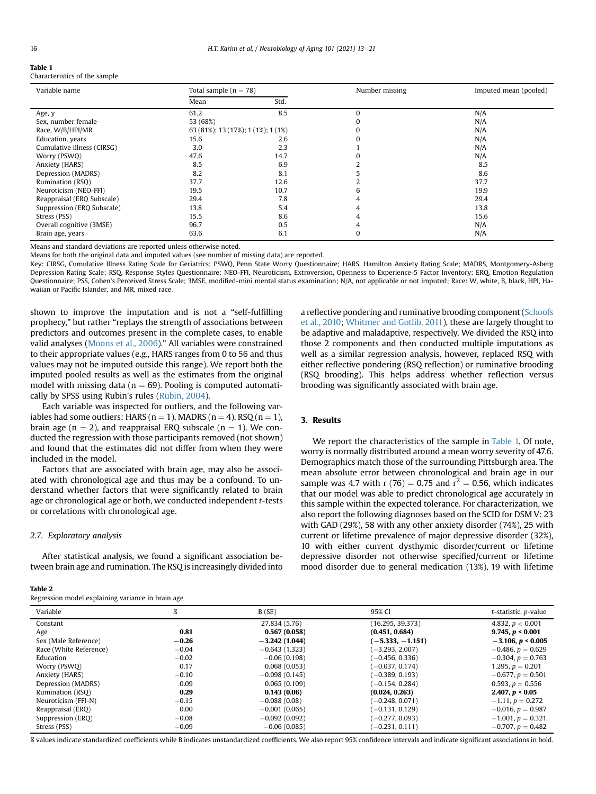<span id="page-3-0"></span>Table 1

| Characteristics of the sample |  |  |  |
|-------------------------------|--|--|--|
|-------------------------------|--|--|--|

| Variable name              | Total sample $(n = 78)$            |      | Number missing | Imputed mean (pooled) |
|----------------------------|------------------------------------|------|----------------|-----------------------|
|                            | Mean                               | Std. |                |                       |
| Age, y                     | 61.2                               | 8.5  | $\Omega$       | N/A                   |
| Sex, number female         | 53 (68%)                           |      | 0              | N/A                   |
| Race, W/B/HPI/MR           | 63 (81%); 13 (17%); 1 (1%); 1 (1%) |      | 0              | N/A                   |
| Education, years           | 15.6                               | 2.6  | 0              | N/A                   |
| Cumulative illness (CIRSG) | 3.0                                | 2.3  |                | N/A                   |
| Worry (PSWQ)               | 47.6                               | 14.7 |                | N/A                   |
| Anxiety (HARS)             | 8.5                                | 6.9  |                | 8.5                   |
| Depression (MADRS)         | 8.2                                | 8.1  |                | 8.6                   |
| Rumination (RSO)           | 37.7                               | 12.6 |                | 37.7                  |
| Neuroticism (NEO-FFI)      | 19.5                               | 10.7 | 6              | 19.9                  |
| Reappraisal (ERQ Subscale) | 29.4                               | 7.8  |                | 29.4                  |
| Suppression (ERQ Subscale) | 13.8                               | 5.4  |                | 13.8                  |
| Stress (PSS)               | 15.5                               | 8.6  |                | 15.6                  |
| Overall cognitive (3MSE)   | 96.7                               | 0.5  | 4              | N/A                   |
| Brain age, years           | 63.6                               | 6.1  | 0              | N/A                   |

Means and standard deviations are reported unless otherwise noted.

Means for both the original data and imputed values (see number of missing data) are reported.

Key: CIRSG, Cumulative Illness Rating Scale for Geriatrics; PSWQ, Penn State Worry Questionnaire; HARS, Hamilton Anxiety Rating Scale; MADRS, Montgomery-Asberg Depression Rating Scale; RSQ, Response Styles Questionnaire; NEO-FFI, Neuroticism, Extroversion, Openness to Experience-5 Factor Inventory; ERQ, Emotion Regulation Questionnaire; PSS, Cohen's Perceived Stress Scale; 3MSE, modified-mini mental status examination; N/A, not applicable or not imputed; Race: W, white, B, black, HPI, Hawaiian or Pacific Islander, and MR, mixed race.

shown to improve the imputation and is not a "self-fulfilling prophecy," but rather "replays the strength of associations between predictors and outcomes present in the complete cases, to enable valid analyses ([Moons et al., 2006](#page-7-34))." All variables were constrained to their appropriate values (e.g., HARS ranges from 0 to 56 and thus values may not be imputed outside this range). We report both the imputed pooled results as well as the estimates from the original model with missing data ( $n = 69$ ). Pooling is computed automatically by SPSS using Rubin's rules ([Rubin, 2004\)](#page-8-9).

Each variable was inspected for outliers, and the following variables had some outliers: HARS ( $n = 1$ ), MADRS ( $n = 4$ ), RSQ ( $n = 1$ ), brain age ( $n = 2$ ), and reappraisal ERQ subscale ( $n = 1$ ). We conducted the regression with those participants removed (not shown) and found that the estimates did not differ from when they were included in the model.

Factors that are associated with brain age, may also be associated with chronological age and thus may be a confound. To understand whether factors that were significantly related to brain age or chronological age or both, we conducted independent t-tests or correlations with chronological age.

## 2.7. Exploratory analysis

After statistical analysis, we found a significant association between brain age and rumination. The RSQ is increasingly divided into

## <span id="page-3-1"></span>Table 2

Regression model explaining variance in brain age

a reflective pondering and ruminative brooding component [\(Schoofs](#page-8-10) [et al., 2010;](#page-8-10) [Whitmer and Gotlib, 2011](#page-8-11)), these are largely thought to be adaptive and maladaptive, respectively. We divided the RSQ into those 2 components and then conducted multiple imputations as well as a similar regression analysis, however, replaced RSQ with either reflective pondering (RSQ reflection) or ruminative brooding (RSQ brooding). This helps address whether reflection versus brooding was significantly associated with brain age.

# 3. Results

We report the characteristics of the sample in [Table 1.](#page-3-0) Of note, worry is normally distributed around a mean worry severity of 47.6. Demographics match those of the surrounding Pittsburgh area. The mean absolute error between chronological and brain age in our sample was 4.7 with r (76) = 0.75 and  $r^2$  = 0.56, which indicates that our model was able to predict chronological age accurately in this sample within the expected tolerance. For characterization, we also report the following diagnoses based on the SCID for DSM V: 23 with GAD (29%), 58 with any other anxiety disorder (74%), 25 with current or lifetime prevalence of major depressive disorder (32%), 10 with either current dysthymic disorder/current or lifetime depressive disorder not otherwise specified/current or lifetime mood disorder due to general medication (13%), 19 with lifetime

| Variable               | ß       | B(SE)           | 95% CI            | t-statistic, p-value   |
|------------------------|---------|-----------------|-------------------|------------------------|
| Constant               |         | 27.834 (5.76)   | (16.295, 39.373)  | 4.832, $p < 0.001$     |
| Age                    | 0.81    | 0.567(0.058)    | (0.451, 0.684)    | 9.745, $p < 0.001$     |
| Sex (Male Reference)   | $-0.26$ | $-3.242(1.044)$ | $(-5.333,-1.151)$ | $-3.106$ , $p < 0.005$ |
| Race (White Reference) | $-0.04$ | $-0.643(1.323)$ | $(-3.293, 2.007)$ | $-0.486, p = 0.629$    |
| Education              | $-0.02$ | $-0.06(0.198)$  | $(-0.456, 0.336)$ | $-0.304$ , $p = 0.763$ |
| Worry (PSWO)           | 0.17    | 0.068(0.053)    | $(-0.037, 0.174)$ | 1.295, $p = 0.201$     |
| Anxiety (HARS)         | $-0.10$ | $-0.098(0.145)$ | $(-0.389, 0.193)$ | $-0.677, p = 0.501$    |
| Depression (MADRS)     | 0.09    | 0.065(0.109)    | $(-0.154, 0.284)$ | 0.593, $p = 0.556$     |
| Rumination (RSO)       | 0.29    | 0.143(0.06)     | (0.024, 0.263)    | 2.407, $p < 0.05$      |
| Neuroticism (FFI-N)    | $-0.15$ | $-0.088(0.08)$  | $(-0.248, 0.071)$ | $-1.11, p = 0.272$     |
| Reappraisal (ERO)      | 0.00    | $-0.001(0.065)$ | $-0.131, 0.129$   | $-0.016, p = 0.987$    |
| Suppression (ERQ)      | $-0.08$ | $-0.092(0.092)$ | $(-0.277, 0.093)$ | $-1.001, p = 0.321$    |
| Stress (PSS)           | $-0.09$ | $-0.06(0.085)$  | $(-0.231, 0.111)$ | $-0.707, p = 0.482$    |

ß values indicate standardized coefficients while B indicates unstandardized coefficients. We also report 95% confidence intervals and indicate significant associations in bold.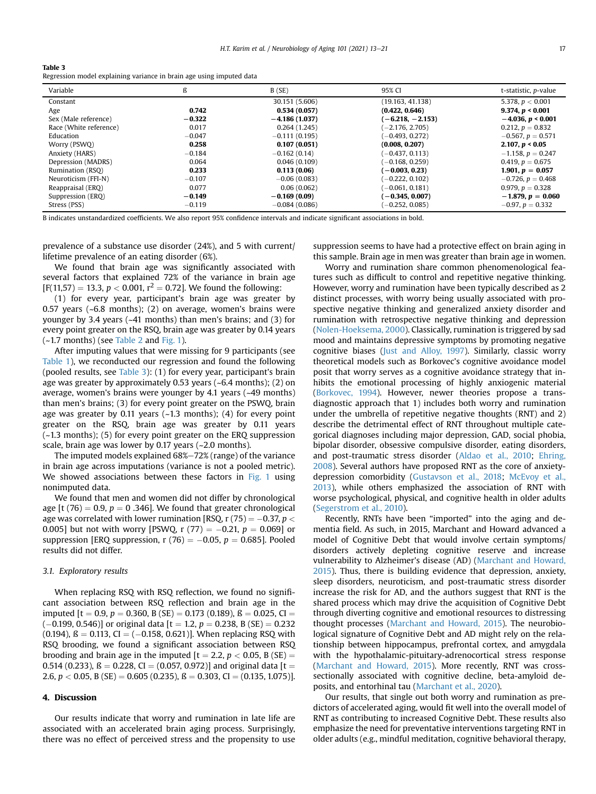#### <span id="page-4-0"></span>Table 3

Regression model explaining variance in brain age using imputed data

| Variable               | ß        | B(SE)           | 95% CI             | t-statistic, p-value   |
|------------------------|----------|-----------------|--------------------|------------------------|
| Constant               |          | 30.151 (5.606)  | (19.163, 41.138)   | 5.378, $p < 0.001$     |
| Age                    | 0.742    | 0.534(0.057)    | (0.422, 0.646)     | 9.374, $p < 0.001$     |
| Sex (Male reference)   | $-0.322$ | $-4.186(1.037)$ | $(-6.218, -2.153)$ | $-4.036$ , $p < 0.001$ |
| Race (White reference) | 0.017    | 0.264(1.245)    | $-2.176, 2.705$    | 0.212, $p = 0.832$     |
| Education              | $-0.047$ | $-0.111(0.195)$ | $-0.493, 0.272$    | $-0.567, p = 0.571$    |
| Worry (PSWO)           | 0.258    | 0.107(0.051)    | (0.008, 0.207)     | 2.107, $p < 0.05$      |
| Anxiety (HARS)         | $-0.184$ | $-0.162(0.14)$  | $-0.437, 0.113$    | $-1.158, p = 0.247$    |
| Depression (MADRS)     | 0.064    | 0.046(0.109)    | $-0.168, 0.259$    | 0.419, $p = 0.675$     |
| Rumination (RSO)       | 0.233    | 0.113(0.06)     | $(-0.003, 0.23)$   | 1.901, $p = 0.057$     |
| Neuroticism (FFI-N)    | $-0.107$ | $-0.06(0.083)$  | $-0.222, 0.102$    | $-0.726, p = 0.468$    |
| Reappraisal (ERO)      | 0.077    | 0.06(0.062)     | $-0.061, 0.181)$   | 0.979, $p = 0.328$     |
| Suppression (ERQ)      | $-0.149$ | $-0.169(0.09)$  | $-0.345, 0.007$    | $-1.879, p = 0.060$    |
| Stress (PSS)           | $-0.119$ | $-0.084(0.086)$ | $-0.252, 0.085$    | $-0.97, p = 0.332$     |

B indicates unstandardized coefficients. We also report 95% confidence intervals and indicate significant associations in bold.

prevalence of a substance use disorder (24%), and 5 with current/ lifetime prevalence of an eating disorder (6%).

We found that brain age was significantly associated with several factors that explained 72% of the variance in brain age  $[F(11,57) = 13.3, p < 0.001, r^2 = 0.72]$ . We found the following:

(1) for every year, participant's brain age was greater by 0.57 years (~6.8 months); (2) on average, women's brains were younger by 3.4 years (~41 months) than men's brains; and (3) for every point greater on the RSQ, brain age was greater by 0.14 years  $(-1.7$  months) (see [Table 2](#page-3-1) and [Fig. 1\)](#page-5-0).

After imputing values that were missing for 9 participants (see [Table 1](#page-3-0)), we reconducted our regression and found the following (pooled results, see [Table 3\)](#page-4-0): (1) for every year, participant's brain age was greater by approximately 0.53 years (~6.4 months); (2) on average, women's brains were younger by 4.1 years (~49 months) than men's brains; (3) for every point greater on the PSWQ, brain age was greater by 0.11 years  $(-1.3 \text{ months})$ ;  $(4)$  for every point greater on the RSQ, brain age was greater by 0.11 years (~1.3 months); (5) for every point greater on the ERQ suppression scale, brain age was lower by 0.17 years (~2.0 months).

The imputed models explained  $68\% - 72\%$  (range) of the variance in brain age across imputations (variance is not a pooled metric). We showed associations between these factors in [Fig. 1](#page-5-0) using nonimputed data.

We found that men and women did not differ by chronological age [t (76) = 0.9,  $p = 0$  .346]. We found that greater chronological age was correlated with lower rumination [RSQ,  $r(75) = -0.37$ ,  $p <$ 0.005] but not with worry [PSWQ, r  $(77) = -0.21$ ,  $p = 0.069$ ] or suppression [ERQ suppression, r (76) =  $-0.05$ , p = 0.685]. Pooled results did not differ.

## 3.1. Exploratory results

When replacing RSQ with RSQ reflection, we found no significant association between RSQ reflection and brain age in the imputed  $[t = 0.9, p = 0.360, B (SE) = 0.173 (0.189), B = 0.025, C1 =$  $(-0.199, 0.546)$ ] or original data [t = 1.2, p = 0.238, B (SE) = 0.232 (0.194),  $\beta = 0.113$ , CI = (-0.158, 0.621)]. When replacing RSQ with RSQ brooding, we found a significant association between RSQ brooding and brain age in the imputed  $[t = 2.2, p < 0.05, B(SE) =$ 0.514 (0.233),  $\beta = 0.228$ , CI = (0.057, 0.972)] and original data [t = 2.6,  $p < 0.05$ , B (SE) = 0.605 (0.235),  $\beta = 0.303$ , CI = (0.135, 1.075)].

## 4. Discussion

Our results indicate that worry and rumination in late life are associated with an accelerated brain aging process. Surprisingly, there was no effect of perceived stress and the propensity to use suppression seems to have had a protective effect on brain aging in this sample. Brain age in men was greater than brain age in women.

Worry and rumination share common phenomenological features such as difficult to control and repetitive negative thinking. However, worry and rumination have been typically described as 2 distinct processes, with worry being usually associated with prospective negative thinking and generalized anxiety disorder and rumination with retrospective negative thinking and depression [\(Nolen-Hoeksema, 2000](#page-7-35)). Classically, rumination is triggered by sad mood and maintains depressive symptoms by promoting negative cognitive biases [\(Just and Alloy, 1997\)](#page-7-36). Similarly, classic worry theoretical models such as Borkovec's cognitive avoidance model posit that worry serves as a cognitive avoidance strategy that inhibits the emotional processing of highly anxiogenic material [\(Borkovec, 1994\)](#page-7-37). However, newer theories propose a transdiagnostic approach that 1) includes both worry and rumination under the umbrella of repetitive negative thoughts (RNT) and 2) describe the detrimental effect of RNT throughout multiple categorical diagnoses including major depression, GAD, social phobia, bipolar disorder, obsessive compulsive disorder, eating disorders, and post-traumatic stress disorder ([Aldao et al., 2010](#page-6-7); [Ehring,](#page-7-38) [2008](#page-7-38)). Several authors have proposed RNT as the core of anxietydepression comorbidity [\(Gustavson et al., 2018](#page-7-39); [McEvoy et al.,](#page-7-40) [2013](#page-7-40)), while others emphasized the association of RNT with worse psychological, physical, and cognitive health in older adults [\(Segerstrom et al., 2010](#page-8-12)).

Recently, RNTs have been "imported" into the aging and dementia field. As such, in 2015, Marchant and Howard advanced a model of Cognitive Debt that would involve certain symptoms/ disorders actively depleting cognitive reserve and increase vulnerability to Alzheimer's disease (AD) [\(Marchant and Howard,](#page-7-41) [2015](#page-7-41)). Thus, there is building evidence that depression, anxiety, sleep disorders, neuroticism, and post-traumatic stress disorder increase the risk for AD, and the authors suggest that RNT is the shared process which may drive the acquisition of Cognitive Debt through diverting cognitive and emotional resources to distressing thought processes ([Marchant and Howard, 2015](#page-7-41)). The neurobiological signature of Cognitive Debt and AD might rely on the relationship between hippocampus, prefrontal cortex, and amygdala with the hypothalamic-pituitary-adrenocortical stress response [\(Marchant and Howard, 2015](#page-7-41)). More recently, RNT was crosssectionally associated with cognitive decline, beta-amyloid deposits, and entorhinal tau ([Marchant et al., 2020](#page-7-42)).

Our results, that single out both worry and rumination as predictors of accelerated aging, would fit well into the overall model of RNT as contributing to increased Cognitive Debt. These results also emphasize the need for preventative interventions targeting RNT in older adults (e.g., mindful meditation, cognitive behavioral therapy,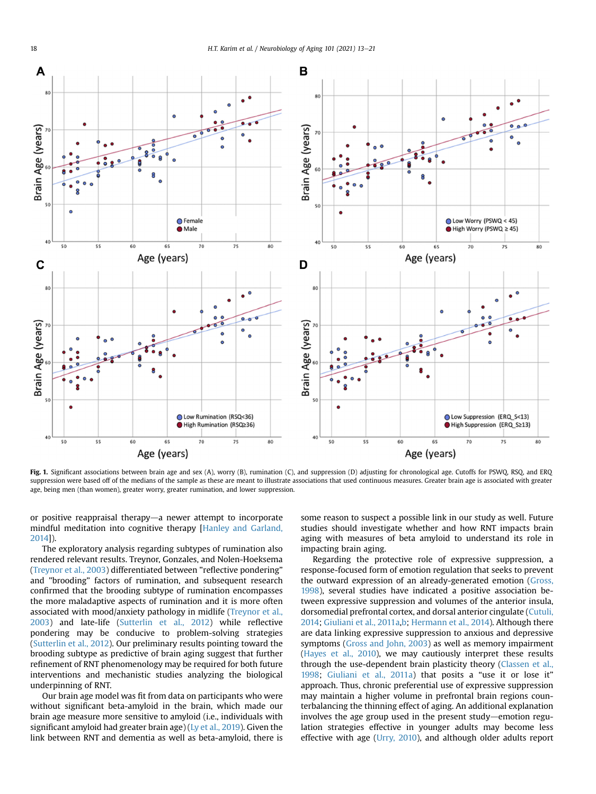<span id="page-5-0"></span>

Fig. 1. Significant associations between brain age and sex (A), worry (B), rumination (C), and suppression (D) adjusting for chronological age. Cutoffs for PSWQ, RSQ, and ERQ suppression were based off of the medians of the sample as these are meant to illustrate associations that used continuous measures. Greater brain age is associated with greater age, being men (than women), greater worry, greater rumination, and lower suppression.

or positive reappraisal therapy $-a$  newer attempt to incorporate mindful meditation into cognitive therapy [\[Hanley and Garland,](#page-7-43) [2014](#page-7-43)]).

The exploratory analysis regarding subtypes of rumination also rendered relevant results. Treynor, Gonzales, and Nolen-Hoeksema [\(Treynor et al., 2003\)](#page-8-13) differentiated between "reflective pondering" and "brooding" factors of rumination, and subsequent research confirmed that the brooding subtype of rumination encompasses the more maladaptive aspects of rumination and it is more often associated with mood/anxiety pathology in midlife ([Treynor et al.,](#page-8-13) [2003](#page-8-13)) and late-life [\(Sutterlin et al., 2012\)](#page-8-14) while reflective pondering may be conducive to problem-solving strategies [\(Sutterlin et al., 2012\)](#page-8-14). Our preliminary results pointing toward the brooding subtype as predictive of brain aging suggest that further refinement of RNT phenomenology may be required for both future interventions and mechanistic studies analyzing the biological underpinning of RNT.

Our brain age model was fit from data on participants who were without significant beta-amyloid in the brain, which made our brain age measure more sensitive to amyloid (i.e., individuals with significant amyloid had greater brain age) ([Ly et al., 2019](#page-7-15)). Given the link between RNT and dementia as well as beta-amyloid, there is

some reason to suspect a possible link in our study as well. Future studies should investigate whether and how RNT impacts brain aging with measures of beta amyloid to understand its role in impacting brain aging.

Regarding the protective role of expressive suppression, a response-focused form of emotion regulation that seeks to prevent the outward expression of an already-generated emotion ([Gross,](#page-7-44) [1998](#page-7-44)), several studies have indicated a positive association between expressive suppression and volumes of the anterior insula, dorsomedial prefrontal cortex, and dorsal anterior cingulate ([Cutuli,](#page-7-45) [2014;](#page-7-45) [Giuliani et al., 2011a](#page-7-46)[,b](#page-7-47); [Hermann et al., 2014\)](#page-7-48). Although there are data linking expressive suppression to anxious and depressive symptoms ([Gross and John, 2003](#page-7-23)) as well as memory impairment ([Hayes et al., 2010\)](#page-7-49), we may cautiously interpret these results through the use-dependent brain plasticity theory [\(Classen et al.,](#page-7-50) [1998](#page-7-50); [Giuliani et al., 2011a](#page-7-46)) that posits a "use it or lose it" approach. Thus, chronic preferential use of expressive suppression may maintain a higher volume in prefrontal brain regions counterbalancing the thinning effect of aging. An additional explanation involves the age group used in the present study-emotion regulation strategies effective in younger adults may become less effective with age [\(Urry, 2010](#page-8-15)), and although older adults report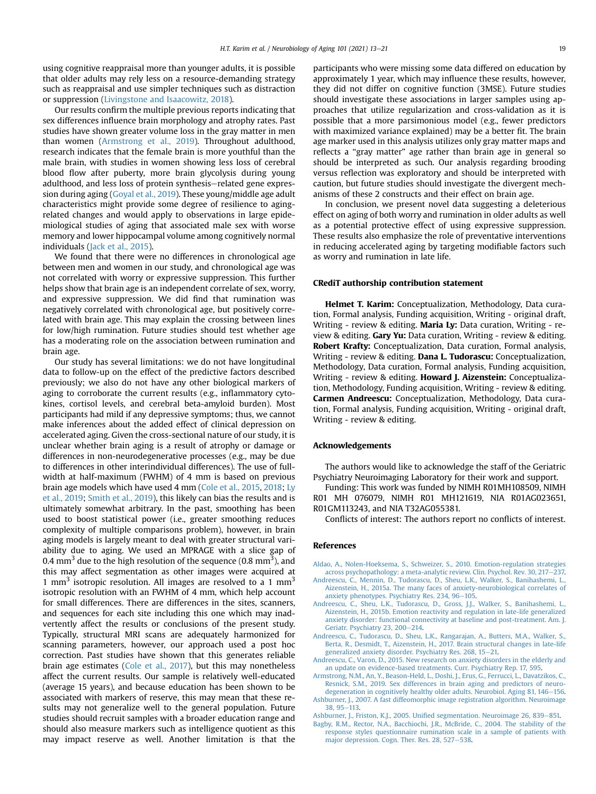using cognitive reappraisal more than younger adults, it is possible that older adults may rely less on a resource-demanding strategy such as reappraisal and use simpler techniques such as distraction or suppression ([Livingstone and Isaacowitz, 2018](#page-7-51)).

Our results confirm the multiple previous reports indicating that sex differences influence brain morphology and atrophy rates. Past studies have shown greater volume loss in the gray matter in men than women ([Armstrong et al., 2019\)](#page-6-8). Throughout adulthood, research indicates that the female brain is more youthful than the male brain, with studies in women showing less loss of cerebral blood flow after puberty, more brain glycolysis during young adulthood, and less loss of protein synthesis-related gene expression during aging [\(Goyal et al., 2019](#page-7-52)). These young/middle age adult characteristics might provide some degree of resilience to agingrelated changes and would apply to observations in large epidemiological studies of aging that associated male sex with worse memory and lower hippocampal volume among cognitively normal individuals ([Jack et al., 2015](#page-7-53)).

We found that there were no differences in chronological age between men and women in our study, and chronological age was not correlated with worry or expressive suppression. This further helps show that brain age is an independent correlate of sex, worry, and expressive suppression. We did find that rumination was negatively correlated with chronological age, but positively correlated with brain age. This may explain the crossing between lines for low/high rumination. Future studies should test whether age has a moderating role on the association between rumination and brain age.

Our study has several limitations: we do not have longitudinal data to follow-up on the effect of the predictive factors described previously; we also do not have any other biological markers of aging to corroborate the current results (e.g., inflammatory cytokines, cortisol levels, and cerebral beta-amyloid burden). Most participants had mild if any depressive symptoms; thus, we cannot make inferences about the added effect of clinical depression on accelerated aging. Given the cross-sectional nature of our study, it is unclear whether brain aging is a result of atrophy or damage or differences in non-neurodegenerative processes (e.g., may be due to differences in other interindividual differences). The use of fullwidth at half-maximum (FWHM) of 4 mm is based on previous brain age models which have used 4 mm ([Cole et al., 2015](#page-7-13), [2018](#page-7-16); [Ly](#page-7-15) [et al., 2019;](#page-7-15) [Smith et al., 2019](#page-8-16)), this likely can bias the results and is ultimately somewhat arbitrary. In the past, smoothing has been used to boost statistical power (i.e., greater smoothing reduces complexity of multiple comparisons problem), however, in brain aging models is largely meant to deal with greater structural variability due to aging. We used an MPRAGE with a slice gap of 0.4 mm<sup>3</sup> due to the high resolution of the sequence (0.8 mm<sup>3</sup>), and this may affect segmentation as other images were acquired at 1 mm<sup>3</sup> isotropic resolution. All images are resolved to a 1 mm<sup>3</sup> isotropic resolution with an FWHM of 4 mm, which help account for small differences. There are differences in the sites, scanners, and sequences for each site including this one which may inadvertently affect the results or conclusions of the present study. Typically, structural MRI scans are adequately harmonized for scanning parameters, however, our approach used a post hoc correction. Past studies have shown that this generates reliable brain age estimates ([Cole et al., 2017](#page-7-54)), but this may nonetheless affect the current results. Our sample is relatively well-educated (average 15 years), and because education has been shown to be associated with markers of reserve, this may mean that these results may not generalize well to the general population. Future studies should recruit samples with a broader education range and should also measure markers such as intelligence quotient as this may impact reserve as well. Another limitation is that the

participants who were missing some data differed on education by approximately 1 year, which may influence these results, however, they did not differ on cognitive function (3MSE). Future studies should investigate these associations in larger samples using approaches that utilize regularization and cross-validation as it is possible that a more parsimonious model (e.g., fewer predictors with maximized variance explained) may be a better fit. The brain age marker used in this analysis utilizes only gray matter maps and reflects a "gray matter" age rather than brain age in general so should be interpreted as such. Our analysis regarding brooding versus reflection was exploratory and should be interpreted with caution, but future studies should investigate the divergent mechanisms of these 2 constructs and their effect on brain age.

In conclusion, we present novel data suggesting a deleterious effect on aging of both worry and rumination in older adults as well as a potential protective effect of using expressive suppression. These results also emphasize the role of preventative interventions in reducing accelerated aging by targeting modifiable factors such as worry and rumination in late life.

## CRediT authorship contribution statement

Helmet T. Karim: Conceptualization, Methodology, Data curation, Formal analysis, Funding acquisition, Writing - original draft, Writing - review & editing. Maria Ly: Data curation, Writing - review & editing. Gary Yu: Data curation, Writing - review & editing. Robert Krafty: Conceptualization, Data curation, Formal analysis, Writing - review & editing. Dana L. Tudorascu: Conceptualization, Methodology, Data curation, Formal analysis, Funding acquisition, Writing - review & editing. **Howard J. Aizenstein:** Conceptualization, Methodology, Funding acquisition, Writing - review & editing. Carmen Andreescu: Conceptualization, Methodology, Data curation, Formal analysis, Funding acquisition, Writing - original draft, Writing - review & editing.

## Acknowledgements

The authors would like to acknowledge the staff of the Geriatric Psychiatry Neuroimaging Laboratory for their work and support.

Funding: This work was funded by NIMH R01MH108509, NIMH R01 MH 076079, NIMH R01 MH121619, NIA R01AG023651, R01GM113243, and NIA T32AG055381.

Conflicts of interest: The authors report no conflicts of interest.

#### <span id="page-6-7"></span>References

- <span id="page-6-2"></span>[Aldao, A., Nolen-Hoeksema, S., Schweizer, S., 2010. Emotion-regulation strategies](http://refhub.elsevier.com/S0197-4580(21)00016-6/sref1) [across psychopathology: a meta-analytic review. Clin. Psychol. Rev. 30, 217](http://refhub.elsevier.com/S0197-4580(21)00016-6/sref1) $-237$ .
- <span id="page-6-3"></span>[Andreescu, C., Mennin, D., Tudorascu, D., Sheu, L.K., Walker, S., Banihashemi, L.,](http://refhub.elsevier.com/S0197-4580(21)00016-6/sref2) [Aizenstein, H., 2015a. The many faces of anxiety-neurobiological correlates of](http://refhub.elsevier.com/S0197-4580(21)00016-6/sref2) [anxiety phenotypes. Psychiatry Res. 234, 96](http://refhub.elsevier.com/S0197-4580(21)00016-6/sref2)-[105.](http://refhub.elsevier.com/S0197-4580(21)00016-6/sref2)
- <span id="page-6-1"></span>[Andreescu, C., Sheu, L.K., Tudorascu, D., Gross, J.J., Walker, S., Banihashemi, L.,](http://refhub.elsevier.com/S0197-4580(21)00016-6/sref3) [Aizenstein, H., 2015b. Emotion reactivity and regulation in late-life generalized](http://refhub.elsevier.com/S0197-4580(21)00016-6/sref3) [anxiety disorder: functional connectivity at baseline and post-treatment. Am. J.](http://refhub.elsevier.com/S0197-4580(21)00016-6/sref3) [Geriatr. Psychiatry 23, 200](http://refhub.elsevier.com/S0197-4580(21)00016-6/sref3)-[214.](http://refhub.elsevier.com/S0197-4580(21)00016-6/sref3)
- <span id="page-6-0"></span>[Andreescu, C., Tudorascu, D., Sheu, L.K., Rangarajan, A., Butters, M.A., Walker, S.,](http://refhub.elsevier.com/S0197-4580(21)00016-6/sref4) [Berta, R., Desmidt, T., Aizenstein, H., 2017. Brain structural changes in late-life](http://refhub.elsevier.com/S0197-4580(21)00016-6/sref4) [generalized anxiety disorder. Psychiatry Res. 268, 15](http://refhub.elsevier.com/S0197-4580(21)00016-6/sref4)-[21.](http://refhub.elsevier.com/S0197-4580(21)00016-6/sref4)
- <span id="page-6-8"></span>[Andreescu, C., Varon, D., 2015. New research on anxiety disorders in the elderly and](http://refhub.elsevier.com/S0197-4580(21)00016-6/sref5) [an update on evidence-based treatments. Curr. Psychiatry Rep. 17, 595](http://refhub.elsevier.com/S0197-4580(21)00016-6/sref5).
- <span id="page-6-6"></span>[Armstrong, N.M., An, Y., Beason-Held, L., Doshi, J., Erus, G., Ferrucci, L., Davatzikos, C.,](http://refhub.elsevier.com/S0197-4580(21)00016-6/sref6) [Resnick, S.M., 2019. Sex differences in brain aging and predictors of neuro](http://refhub.elsevier.com/S0197-4580(21)00016-6/sref6)[degeneration in cognitively healthy older adults. Neurobiol. Aging 81, 146](http://refhub.elsevier.com/S0197-4580(21)00016-6/sref6)-[156](http://refhub.elsevier.com/S0197-4580(21)00016-6/sref6).
- <span id="page-6-5"></span><span id="page-6-4"></span>[Ashburner, J., 2007. A fast diffeomorphic image registration algorithm. Neuroimage](http://refhub.elsevier.com/S0197-4580(21)00016-6/sref7) [38, 95](http://refhub.elsevier.com/S0197-4580(21)00016-6/sref7)-[113.](http://refhub.elsevier.com/S0197-4580(21)00016-6/sref7)
- Ashburner, J., Friston, K.J., 2005. Unifi[ed segmentation. Neuroimage 26, 839](http://refhub.elsevier.com/S0197-4580(21)00016-6/sref8)-[851.](http://refhub.elsevier.com/S0197-4580(21)00016-6/sref8)
- [Bagby, R.M., Rector, N.A., Bacchiochi, J.R., McBride, C., 2004. The stability of the](http://refhub.elsevier.com/S0197-4580(21)00016-6/sref9) [response styles questionnaire rumination scale in a sample of patients with](http://refhub.elsevier.com/S0197-4580(21)00016-6/sref9) [major depression. Cogn. Ther. Res. 28, 527](http://refhub.elsevier.com/S0197-4580(21)00016-6/sref9)–[538.](http://refhub.elsevier.com/S0197-4580(21)00016-6/sref9)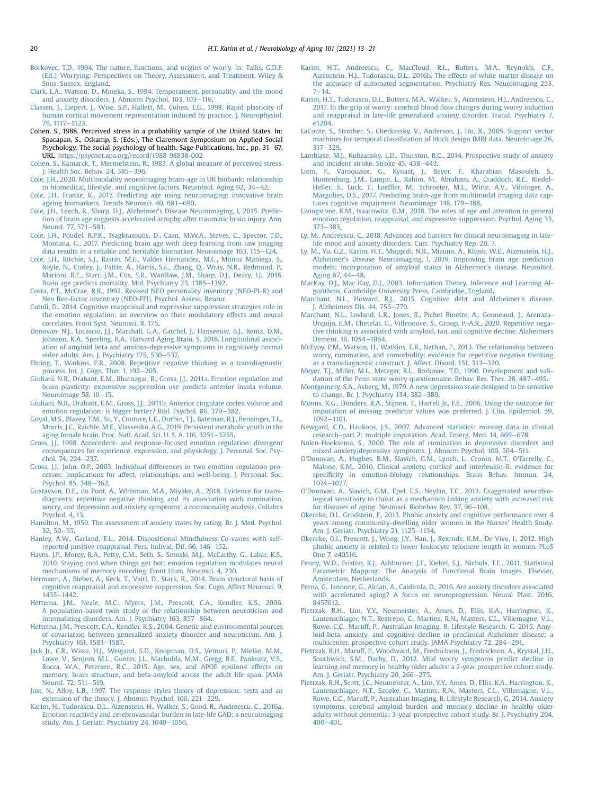- <span id="page-7-37"></span>[Borkovec, T.D., 1994. The nature, functions, and origins of worry. In: Tallis, G.D.F.](http://refhub.elsevier.com/S0197-4580(21)00016-6/sref10) [\(Ed.\), Worrying: Perspectives on Theory, Assessment, and Treatment. Wiley &](http://refhub.elsevier.com/S0197-4580(21)00016-6/sref10) [Sons, Sussex, England](http://refhub.elsevier.com/S0197-4580(21)00016-6/sref10).
- <span id="page-7-18"></span>[Clark, L.A., Watson, D., Mineka, S., 1994. Temperament, personality, and the mood](http://refhub.elsevier.com/S0197-4580(21)00016-6/sref11) [and anxiety disorders. J. Abnorm Psychol. 103, 103](http://refhub.elsevier.com/S0197-4580(21)00016-6/sref11)-[116.](http://refhub.elsevier.com/S0197-4580(21)00016-6/sref11)
- <span id="page-7-50"></span>[Classen, J., Liepert, J., Wise, S.P., Hallett, M., Cohen, L.G., 1998. Rapid plasticity of](http://refhub.elsevier.com/S0197-4580(21)00016-6/sref12) [human cortical movement representation induced by practice. J. Neurophysiol.](http://refhub.elsevier.com/S0197-4580(21)00016-6/sref12) [79, 1117](http://refhub.elsevier.com/S0197-4580(21)00016-6/sref12)-[1123](http://refhub.elsevier.com/S0197-4580(21)00016-6/sref12).
- <span id="page-7-28"></span>Cohen, S., 1988. Perceived stress in a probability sample of the United States. In: Spacapan, S., Oskamp, S. (Eds.), The Claremont Symposium on Applied Social Psychology. The social psychology of health. Sage Publications, Inc., pp. 31-67. URL. <https://psycnet.apa.org/record/1988-98838-002>
- <span id="page-7-21"></span>[Cohen, S., Kamarck, T., Mermelstein, R., 1983. A global measure of perceived stress.](http://refhub.elsevier.com/S0197-4580(21)00016-6/sref14) [J. Health Soc. Behav. 24, 385](http://refhub.elsevier.com/S0197-4580(21)00016-6/sref14)-[396.](http://refhub.elsevier.com/S0197-4580(21)00016-6/sref14)
- <span id="page-7-12"></span>[Cole, J.H., 2020. Multimodality neuroimaging brain-age in UK biobank: relationship](http://refhub.elsevier.com/S0197-4580(21)00016-6/sref15) [to biomedical, lifestyle, and cognitive factors. Neurobiol. Aging 92, 34](http://refhub.elsevier.com/S0197-4580(21)00016-6/sref15)-[42](http://refhub.elsevier.com/S0197-4580(21)00016-6/sref15).
- <span id="page-7-14"></span>[Cole, J.H., Franke, K., 2017. Predicting age using neuroimaging: innovative brain](http://refhub.elsevier.com/S0197-4580(21)00016-6/sref16) [ageing biomarkers. Trends Neurosci. 40, 681](http://refhub.elsevier.com/S0197-4580(21)00016-6/sref16)-[690.](http://refhub.elsevier.com/S0197-4580(21)00016-6/sref16)
- <span id="page-7-13"></span>[Cole, J.H., Leech, R., Sharp, D.J., Alzheimer's Disease Neuroimaging, I, 2015. Predic](http://refhub.elsevier.com/S0197-4580(21)00016-6/sref17)[tion of brain age suggests accelerated atrophy after traumatic brain injury. Ann.](http://refhub.elsevier.com/S0197-4580(21)00016-6/sref17) [Neurol. 77, 571](http://refhub.elsevier.com/S0197-4580(21)00016-6/sref17)-[581.](http://refhub.elsevier.com/S0197-4580(21)00016-6/sref17)
- <span id="page-7-54"></span>[Cole, J.H., Poudel, R.P.K., Tsagkrasoulis, D., Caan, M.W.A., Steves, C., Spector, T.D.,](http://refhub.elsevier.com/S0197-4580(21)00016-6/sref18) [Montana, G., 2017. Predicting brain age with deep learning from raw imaging](http://refhub.elsevier.com/S0197-4580(21)00016-6/sref18) data results in a reliable and heritable biomarker. Neuroimage 163,  $115-124$ .
- <span id="page-7-16"></span>[Cole, J.H., Ritchie, S.J., Bastin, M.E., Valdes Hernandez, M.C., Munoz Maniega, S.,](http://refhub.elsevier.com/S0197-4580(21)00016-6/sref19) [Royle, N., Corley, J., Pattie, A., Harris, S.E., Zhang, Q., Wray, N.R., Redmond, P.,](http://refhub.elsevier.com/S0197-4580(21)00016-6/sref19) [Marioni, R.E., Starr, J.M., Cox, S.R., Wardlaw, J.M., Sharp, D.J., Deary, I.J., 2018.](http://refhub.elsevier.com/S0197-4580(21)00016-6/sref19) [Brain age predicts mortality. Mol. Psychiatry 23, 1385](http://refhub.elsevier.com/S0197-4580(21)00016-6/sref19)-[1392.](http://refhub.elsevier.com/S0197-4580(21)00016-6/sref19)
- <span id="page-7-27"></span>[Costa, P.T., McCrae, R.R., 1992. Revised NEO personality inventory \(NEO-PI-R\) and](http://refhub.elsevier.com/S0197-4580(21)00016-6/sref20) Neo fi[ve-factor inventory \(NEO-FFI\). Psychol. Assess. Resour.](http://refhub.elsevier.com/S0197-4580(21)00016-6/sref20)
- <span id="page-7-45"></span>[Cutuli, D., 2014. Cognitive reappraisal and expressive suppression strategies role in](http://refhub.elsevier.com/S0197-4580(21)00016-6/sref21) [the emotion regulation: an overview on their modulatory effects and neural](http://refhub.elsevier.com/S0197-4580(21)00016-6/sref21) [correlates. Front Syst. Neurosci. 8, 175.](http://refhub.elsevier.com/S0197-4580(21)00016-6/sref21)
- <span id="page-7-2"></span>[Donovan, N.J., Locascio, J.J., Marshall, G.A., Gatchel, J., Hanseeuw, B.J., Rentz, D.M.,](http://refhub.elsevier.com/S0197-4580(21)00016-6/sref22) [Johnson, K.A., Sperling, R.A., Harvard Aging Brain, S, 2018. Longitudinal associ](http://refhub.elsevier.com/S0197-4580(21)00016-6/sref22)[ation of amyloid beta and anxious-depressive symptoms in cognitively normal](http://refhub.elsevier.com/S0197-4580(21)00016-6/sref22) [older adults. Am. J. Psychiatry 175, 530](http://refhub.elsevier.com/S0197-4580(21)00016-6/sref22)-[537.](http://refhub.elsevier.com/S0197-4580(21)00016-6/sref22)
- <span id="page-7-38"></span>[Ehring, T., Watkins, E.R., 2008. Repetitive negative thinking as a transdiagnostic](http://refhub.elsevier.com/S0197-4580(21)00016-6/sref23) process. Int. I. Cogn. Ther.  $1.192-205$ .
- <span id="page-7-46"></span>[Giuliani, N.R., Drabant, E.M., Bhatnagar, R., Gross, J.J., 2011a. Emotion regulation and](http://refhub.elsevier.com/S0197-4580(21)00016-6/sref24) [brain plasticity: expressive suppression use predicts anterior insula volume.](http://refhub.elsevier.com/S0197-4580(21)00016-6/sref24) Neuroimage  $58, 10-15$  $58, 10-15$ .
- <span id="page-7-47"></span>[Giuliani, N.R., Drabant, E.M., Gross, J.J., 2011b. Anterior cingulate cortex volume and](http://refhub.elsevier.com/S0197-4580(21)00016-6/sref25) [emotion regulation: is bigger better? Biol. Psychol. 86, 379](http://refhub.elsevier.com/S0197-4580(21)00016-6/sref25)-[382.](http://refhub.elsevier.com/S0197-4580(21)00016-6/sref25)
- <span id="page-7-52"></span>[Goyal, M.S., Blazey, T.M., Su, Y., Couture, L.E., Durbin, T.J., Bateman, R.J., Benzinger, T.L.,](http://refhub.elsevier.com/S0197-4580(21)00016-6/sref26) [Morris, J.C., Raichle, M.E., Vlassenko, A.G., 2019. Persistent metabolic youth in the](http://refhub.elsevier.com/S0197-4580(21)00016-6/sref26) [aging female brain. Proc. Natl. Acad. Sci. U. S. A. 116, 3251](http://refhub.elsevier.com/S0197-4580(21)00016-6/sref26)-[3255.](http://refhub.elsevier.com/S0197-4580(21)00016-6/sref26)
- <span id="page-7-44"></span>[Gross, J.J., 1998. Antecedent- and response-focused emotion regulation: divergent](http://refhub.elsevier.com/S0197-4580(21)00016-6/sref27) [consequences for experience, expression, and physiology. J. Personal. Soc. Psy](http://refhub.elsevier.com/S0197-4580(21)00016-6/sref27)[chol. 74, 224](http://refhub.elsevier.com/S0197-4580(21)00016-6/sref27)-[237.](http://refhub.elsevier.com/S0197-4580(21)00016-6/sref27)
- <span id="page-7-23"></span>[Gross, J.J., John, O.P., 2003. Individual differences in two emotion regulation pro](http://refhub.elsevier.com/S0197-4580(21)00016-6/sref28)[cesses: implications for affect, relationships, and well-being. J. Personal. Soc.](http://refhub.elsevier.com/S0197-4580(21)00016-6/sref28) [Psychol. 85, 348](http://refhub.elsevier.com/S0197-4580(21)00016-6/sref28)-[362.](http://refhub.elsevier.com/S0197-4580(21)00016-6/sref28)
- <span id="page-7-39"></span>[Gustavson, D.E., du Pont, A., Whisman, M.A., Miyake, A., 2018. Evidence for trans](http://refhub.elsevier.com/S0197-4580(21)00016-6/sref29)[diagnostic repetitive negative thinking and its association with rumination,](http://refhub.elsevier.com/S0197-4580(21)00016-6/sref29) [worry, and depression and anxiety symptoms: a commonality analysis. Collabra](http://refhub.elsevier.com/S0197-4580(21)00016-6/sref29) [Psychol. 4, 13.](http://refhub.elsevier.com/S0197-4580(21)00016-6/sref29)
- <span id="page-7-25"></span>[Hamilton, M., 1959. The assessment of anxiety states by rating. Br. J. Med. Psychol.](http://refhub.elsevier.com/S0197-4580(21)00016-6/sref30)  $32.50 - 55.$  $32.50 - 55.$
- <span id="page-7-43"></span>[Hanley, A.W., Garland, E.L., 2014. Dispositional Mindfulness Co-varies with self](http://refhub.elsevier.com/S0197-4580(21)00016-6/sref31)[reported positive reappraisal. Pers. Individ. Dif. 66, 146](http://refhub.elsevier.com/S0197-4580(21)00016-6/sref31)-[152](http://refhub.elsevier.com/S0197-4580(21)00016-6/sref31).
- <span id="page-7-49"></span>[Hayes, J.P., Morey, R.A., Petty, C.M., Seth, S., Smoski, M.J., McCarthy, G., Labar, K.S.,](http://refhub.elsevier.com/S0197-4580(21)00016-6/sref32) [2010. Staying cool when things get hot: emotion regulation modulates neural](http://refhub.elsevier.com/S0197-4580(21)00016-6/sref32) [mechanisms of memory encoding. Front Hum. Neurosci. 4, 230](http://refhub.elsevier.com/S0197-4580(21)00016-6/sref32).
- <span id="page-7-48"></span>[Hermann, A., Bieber, A., Keck, T., Vaitl, D., Stark, R., 2014. Brain structural basis of](http://refhub.elsevier.com/S0197-4580(21)00016-6/sref33) [cognitive reappraisal and expressive suppression. Soc. Cogn. Affect Neurosci. 9,](http://refhub.elsevier.com/S0197-4580(21)00016-6/sref33) [1435](http://refhub.elsevier.com/S0197-4580(21)00016-6/sref33)-[1442](http://refhub.elsevier.com/S0197-4580(21)00016-6/sref33).
- <span id="page-7-20"></span>[Hettema, J.M., Neale, M.C., Myers, J.M., Prescott, C.A., Kendler, K.S., 2006.](http://refhub.elsevier.com/S0197-4580(21)00016-6/sref34) [A population-based twin study of the relationship between neuroticism and](http://refhub.elsevier.com/S0197-4580(21)00016-6/sref34) [internalizing disorders. Am. J. Psychiatry 163, 857](http://refhub.elsevier.com/S0197-4580(21)00016-6/sref34)-[864](http://refhub.elsevier.com/S0197-4580(21)00016-6/sref34).
- <span id="page-7-19"></span>[Hettema, J.M., Prescott, C.A., Kendler, K.S., 2004. Genetic and environmental sources](http://refhub.elsevier.com/S0197-4580(21)00016-6/sref35) [of covariation between generalized anxiety disorder and neuroticism. Am. J.](http://refhub.elsevier.com/S0197-4580(21)00016-6/sref35) [Psychiatry 161, 1581](http://refhub.elsevier.com/S0197-4580(21)00016-6/sref35)-[1587.](http://refhub.elsevier.com/S0197-4580(21)00016-6/sref35)
- <span id="page-7-53"></span>[Jack Jr., C.R., Wiste, H.J., Weigand, S.D., Knopman, D.S., Vemuri, P., Mielke, M.M.,](http://refhub.elsevier.com/S0197-4580(21)00016-6/sref36) [Lowe, V., Senjem, M.L., Gunter, J.L., Machulda, M.M., Gregg, B.E., Pankratz, V.S.,](http://refhub.elsevier.com/S0197-4580(21)00016-6/sref36) [Rocca, W.A., Petersen, R.C., 2015. Age, sex, and APOE epsilon4 effects on](http://refhub.elsevier.com/S0197-4580(21)00016-6/sref36) [memory, brain structure, and beta-amyloid across the adult life span. JAMA](http://refhub.elsevier.com/S0197-4580(21)00016-6/sref36) [Neurol. 72, 511](http://refhub.elsevier.com/S0197-4580(21)00016-6/sref36)-[519.](http://refhub.elsevier.com/S0197-4580(21)00016-6/sref36)
- <span id="page-7-36"></span>[Just, N., Alloy, L.B., 1997. The response styles theory of depression: tests and an](http://refhub.elsevier.com/S0197-4580(21)00016-6/sref37) extension of the theory. J. Abnorm Psychol.  $106$ ,  $221-229$ .
- <span id="page-7-7"></span>[Karim, H., Tudorascu, D.L., Aizenstein, H., Walker, S., Good, R., Andreescu, C., 2016a.](http://refhub.elsevier.com/S0197-4580(21)00016-6/sref38) [Emotion reactivity and cerebrovascular burden in late-life GAD: a neuroimaging](http://refhub.elsevier.com/S0197-4580(21)00016-6/sref38) [study. Am. J. Geriatr. Psychiatry 24, 1040](http://refhub.elsevier.com/S0197-4580(21)00016-6/sref38)-[1050](http://refhub.elsevier.com/S0197-4580(21)00016-6/sref38).
- <span id="page-7-30"></span>[Karim, H.T., Andreescu, C., MacCloud, R.L., Butters, M.A., Reynolds, C.F.,](http://refhub.elsevier.com/S0197-4580(21)00016-6/sref39) [Aizenstein, H.J., Tudorascu, D.L., 2016b. The effects of white matter disease on](http://refhub.elsevier.com/S0197-4580(21)00016-6/sref39) [the accuracy of automated segmentation. Psychiatry Res. Neuroimaging 253,](http://refhub.elsevier.com/S0197-4580(21)00016-6/sref39)  $7 - 14$  $7 - 14$  $7 - 14$
- <span id="page-7-22"></span>[Karim, H.T., Tudorascu, D.L., Butters, M.A., Walker, S., Aizenstein, H.J., Andreescu, C.,](http://refhub.elsevier.com/S0197-4580(21)00016-6/sref40) [2017. In the grip of worry: cerebral blood](http://refhub.elsevier.com/S0197-4580(21)00016-6/sref40) flow changes during worry induction [and reappraisal in late-life generalized anxiety disorder. Transl. Psychiatry 7,](http://refhub.elsevier.com/S0197-4580(21)00016-6/sref40) [e1204](http://refhub.elsevier.com/S0197-4580(21)00016-6/sref40).
- <span id="page-7-31"></span>[LaConte, S., Strother, S., Cherkassky, V., Anderson, J., Hu, X., 2005. Support vector](http://refhub.elsevier.com/S0197-4580(21)00016-6/sref41) machines for temporal classifi[cation of block design fMRI data. Neuroimage 26,](http://refhub.elsevier.com/S0197-4580(21)00016-6/sref41)  $317 - 329$  $317 - 329$  $317 - 329$
- <span id="page-7-0"></span>[Lambiase, M.J., Kubzansky, L.D., Thurston, R.C., 2014. Prospective study of anxiety](http://refhub.elsevier.com/S0197-4580(21)00016-6/sref42) [and incident stroke. Stroke 45, 438](http://refhub.elsevier.com/S0197-4580(21)00016-6/sref42)-[443](http://refhub.elsevier.com/S0197-4580(21)00016-6/sref42).
- <span id="page-7-17"></span>[Liem, F., Varoquaux, G., Kynast, J., Beyer, F., Kharabian Masouleh, S.,](http://refhub.elsevier.com/S0197-4580(21)00016-6/sref43) [Huntenburg, J.M., Lampe, L., Rahim, M., Abraham, A., Craddock, R.C., Riedel-](http://refhub.elsevier.com/S0197-4580(21)00016-6/sref43)Heller, S., Luck, T., Loeffl[er, M., Schroeter, M.L., Witte, A.V., Villringer, A.,](http://refhub.elsevier.com/S0197-4580(21)00016-6/sref43) [Margulies, D.S., 2017. Predicting brain-age from multimodal imaging data cap](http://refhub.elsevier.com/S0197-4580(21)00016-6/sref43)[tures cognitive impairment. Neuroimage 148, 179](http://refhub.elsevier.com/S0197-4580(21)00016-6/sref43)-[188.](http://refhub.elsevier.com/S0197-4580(21)00016-6/sref43)
- <span id="page-7-51"></span>[Livingstone, K.M., Isaacowitz, D.M., 2018. The roles of age and attention in general](http://refhub.elsevier.com/S0197-4580(21)00016-6/sref44) [emotion regulation, reappraisal, and expressive suppression. Psychol. Aging 33,](http://refhub.elsevier.com/S0197-4580(21)00016-6/sref44) [373](http://refhub.elsevier.com/S0197-4580(21)00016-6/sref44)-[383](http://refhub.elsevier.com/S0197-4580(21)00016-6/sref44).
- <span id="page-7-6"></span>[Ly, M., Andreescu, C., 2018. Advances and barriers for clinical neuroimaging in late](http://refhub.elsevier.com/S0197-4580(21)00016-6/sref45)[life mood and anxiety disorders. Curr. Psychiatry Rep. 20, 7.](http://refhub.elsevier.com/S0197-4580(21)00016-6/sref45)
- <span id="page-7-15"></span>[Ly, M., Yu, G.Z., Karim, H.T., Muppidi, N.R., Mizuno, A., Klunk, W.E., Aizenstein, H.J.,](http://refhub.elsevier.com/S0197-4580(21)00016-6/sref46) Alzheimer'[s Disease Neuroimaging, I, 2019. Improving brain age prediction](http://refhub.elsevier.com/S0197-4580(21)00016-6/sref46) [models: incorporation of amyloid status in Alzheimer](http://refhub.elsevier.com/S0197-4580(21)00016-6/sref46)'s disease. Neurobiol. [Aging 87, 44](http://refhub.elsevier.com/S0197-4580(21)00016-6/sref46)-[48.](http://refhub.elsevier.com/S0197-4580(21)00016-6/sref46)
- <span id="page-7-33"></span>[MacKay, D.J., Mac Kay, D.J., 2003. Information Theory, Inference and Learning Al](http://refhub.elsevier.com/S0197-4580(21)00016-6/sref47)[gorithms. Cambridge University Press, Cambridge, England](http://refhub.elsevier.com/S0197-4580(21)00016-6/sref47).
- <span id="page-7-41"></span>[Marchant, N.L., Howard, R.J., 2015. Cognitive debt and Alzheimer's disease.](http://refhub.elsevier.com/S0197-4580(21)00016-6/sref48) [J. Alzheimers Dis. 44, 755](http://refhub.elsevier.com/S0197-4580(21)00016-6/sref48)-[770.](http://refhub.elsevier.com/S0197-4580(21)00016-6/sref48)
- <span id="page-7-42"></span>[Marchant, N.L., Lovland, L.R., Jones, R., Pichet Binette, A., Gonneaud, J., Arenaza-](http://refhub.elsevier.com/S0197-4580(21)00016-6/sref49)[Urquijo, E.M., Chetelat, G., Villeneuve, S., Group, P.-A.R., 2020. Repetitive nega](http://refhub.elsevier.com/S0197-4580(21)00016-6/sref49)[tive thinking is associated with amyloid, tau, and cognitive decline. Alzheimers](http://refhub.elsevier.com/S0197-4580(21)00016-6/sref49) [Dement. 16, 1054](http://refhub.elsevier.com/S0197-4580(21)00016-6/sref49)-[1064.](http://refhub.elsevier.com/S0197-4580(21)00016-6/sref49)
- <span id="page-7-40"></span>[McEvoy, P.M., Watson, H., Watkins, E.R., Nathan, P., 2013. The relationship between](http://refhub.elsevier.com/S0197-4580(21)00016-6/sref50) [worry, rumination, and comorbidity: evidence for repetitive negative thinking](http://refhub.elsevier.com/S0197-4580(21)00016-6/sref50) [as a transdiagnostic construct. J. Affect. Disord. 151, 313](http://refhub.elsevier.com/S0197-4580(21)00016-6/sref50)-[320](http://refhub.elsevier.com/S0197-4580(21)00016-6/sref50).
- <span id="page-7-24"></span>[Meyer, T.J., Miller, M.L., Metzger, R.L., Borkovec, T.D., 1990. Development and vali](http://refhub.elsevier.com/S0197-4580(21)00016-6/sref51)[dation of the Penn state worry questionnaire. Behav. Res. Ther. 28, 487](http://refhub.elsevier.com/S0197-4580(21)00016-6/sref51)-[495.](http://refhub.elsevier.com/S0197-4580(21)00016-6/sref51)
- <span id="page-7-26"></span>[Montgomery, S.A., Asberg, M., 1979. A new depression scale designed to be sensitive](http://refhub.elsevier.com/S0197-4580(21)00016-6/sref52) to change. Br. J. Psychiatry 134,  $382-389$ .
- <span id="page-7-34"></span>[Moons, K.G., Donders, R.A., Stijnen, T., Harrell Jr., F.E., 2006. Using the outcome for](http://refhub.elsevier.com/S0197-4580(21)00016-6/sref53) [imputation of missing predictor values was preferred. J. Clin. Epidemiol. 59,](http://refhub.elsevier.com/S0197-4580(21)00016-6/sref53) [1092](http://refhub.elsevier.com/S0197-4580(21)00016-6/sref53)-[1101.](http://refhub.elsevier.com/S0197-4580(21)00016-6/sref53)
- <span id="page-7-32"></span>[Newgard, C.D., Haukoos, J.S., 2007. Advanced statistics: missing data in clinical](http://refhub.elsevier.com/S0197-4580(21)00016-6/sref54)
- <span id="page-7-35"></span>research–[part 2: multiple imputation. Acad. Emerg. Med. 14, 669](http://refhub.elsevier.com/S0197-4580(21)00016-6/sref54)–[678](http://refhub.elsevier.com/S0197-4580(21)00016-6/sref54).<br>[Nolen-Hoeksema, S., 2000. The role of rumination in depressive disorders and](http://refhub.elsevier.com/S0197-4580(21)00016-6/sref55) [mixed anxiety/depressive symptoms. J. Abnorm Psychol. 109, 504](http://refhub.elsevier.com/S0197-4580(21)00016-6/sref55)–[511.](http://refhub.elsevier.com/S0197-4580(21)00016-6/sref55)
- <span id="page-7-9"></span>[O'Donovan, A., Hughes, B.M., Slavich, G.M., Lynch, L., Cronin, M.T., O'Farrelly, C.,](http://refhub.elsevier.com/S0197-4580(21)00016-6/sref56) [Malone, K.M., 2010. Clinical anxiety, cortisol and interleukin-6: evidence for](http://refhub.elsevier.com/S0197-4580(21)00016-6/sref56) specifi[city in emotion-biology relationships. Brain Behav. Immun. 24,](http://refhub.elsevier.com/S0197-4580(21)00016-6/sref56) [1074](http://refhub.elsevier.com/S0197-4580(21)00016-6/sref56)-[1077.](http://refhub.elsevier.com/S0197-4580(21)00016-6/sref56)
- <span id="page-7-10"></span>[O'Donovan, A., Slavich, G.M., Epel, E.S., Neylan, T.C., 2013. Exaggerated neurobio](http://refhub.elsevier.com/S0197-4580(21)00016-6/sref57)[logical sensitivity to threat as a mechanism linking anxiety with increased risk](http://refhub.elsevier.com/S0197-4580(21)00016-6/sref57) [for diseases of aging. Neurosci. Biobehav Rev. 37, 96](http://refhub.elsevier.com/S0197-4580(21)00016-6/sref57)-[108](http://refhub.elsevier.com/S0197-4580(21)00016-6/sref57).
- <span id="page-7-1"></span>[Okereke, O.I., Grodstein, F., 2013. Phobic anxiety and cognitive performance over 4](http://refhub.elsevier.com/S0197-4580(21)00016-6/sref58) [years among community-dwelling older women in the Nurses' Health Study.](http://refhub.elsevier.com/S0197-4580(21)00016-6/sref58) [Am. J. Geriatr. Psychiatry 21, 1125](http://refhub.elsevier.com/S0197-4580(21)00016-6/sref58)-[1134](http://refhub.elsevier.com/S0197-4580(21)00016-6/sref58).
- <span id="page-7-8"></span>[Okereke, O.I., Prescott, J., Wong, J.Y., Han, J., Rexrode, K.M., De Vivo, I., 2012. High](http://refhub.elsevier.com/S0197-4580(21)00016-6/sref59) [phobic anxiety is related to lower leukocyte telomere length in women. PLoS](http://refhub.elsevier.com/S0197-4580(21)00016-6/sref59) [One 7, e40516.](http://refhub.elsevier.com/S0197-4580(21)00016-6/sref59)
- <span id="page-7-29"></span>[Penny, W.D., Friston, K.J., Ashburner, J.T., Kiebel, S.J., Nichols, T.E., 2011. Statistical](http://refhub.elsevier.com/S0197-4580(21)00016-6/sref60) [Parametric Mapping: The Analysis of Functional Brain Images. Elsevier,](http://refhub.elsevier.com/S0197-4580(21)00016-6/sref60) [Amsterdam, Netherlands](http://refhub.elsevier.com/S0197-4580(21)00016-6/sref60).
- <span id="page-7-11"></span>[Perna, G., Iannone, G., Alciati, A., Caldirola, D., 2016. Are anxiety disorders associated](http://refhub.elsevier.com/S0197-4580(21)00016-6/sref61) [with accelerated aging? A focus on neuroprogression. Neural Plast. 2016,](http://refhub.elsevier.com/S0197-4580(21)00016-6/sref61) [8457612](http://refhub.elsevier.com/S0197-4580(21)00016-6/sref61).
- <span id="page-7-4"></span>[Pietrzak, R.H., Lim, Y.Y., Neumeister, A., Ames, D., Ellis, K.A., Harrington, K.,](http://refhub.elsevier.com/S0197-4580(21)00016-6/sref62) [Lautenschlager, N.T., Restrepo, C., Martins, R.N., Masters, C.L., Villemagne, V.L.,](http://refhub.elsevier.com/S0197-4580(21)00016-6/sref62) [Rowe, C.C., Maruff, P., Australian Imaging, B, Lifestyle Research, G, 2015. Amy](http://refhub.elsevier.com/S0197-4580(21)00016-6/sref62)[loid-beta, anxiety, and cognitive decline in preclinical Alzheimer disease: a](http://refhub.elsevier.com/S0197-4580(21)00016-6/sref62) [multicenter, prospective cohort study. JAMA Psychiatry 72, 284](http://refhub.elsevier.com/S0197-4580(21)00016-6/sref62)-[291.](http://refhub.elsevier.com/S0197-4580(21)00016-6/sref62)
- <span id="page-7-5"></span>[Pietrzak, R.H., Maruff, P., Woodward, M., Fredrickson, J., Fredrickson, A., Krystal, J.H.,](http://refhub.elsevier.com/S0197-4580(21)00016-6/sref63) [Southwick, S.M., Darby, D., 2012. Mild worry symptoms predict decline in](http://refhub.elsevier.com/S0197-4580(21)00016-6/sref63) [learning and memory in healthy older adults: a 2-year prospective cohort study.](http://refhub.elsevier.com/S0197-4580(21)00016-6/sref63) [Am. J. Geriatr. Psychiatry 20, 266](http://refhub.elsevier.com/S0197-4580(21)00016-6/sref63)-[275.](http://refhub.elsevier.com/S0197-4580(21)00016-6/sref63)
- <span id="page-7-3"></span>[Pietrzak, R.H., Scott, J.C., Neumeister, A., Lim, Y.Y., Ames, D., Ellis, K.A., Harrington, K.,](http://refhub.elsevier.com/S0197-4580(21)00016-6/sref64) [Lautenschlager, N.T., Szoeke, C., Martins, R.N., Masters, C.L., Villemagne, V.L.,](http://refhub.elsevier.com/S0197-4580(21)00016-6/sref64) [Rowe, C.C., Maruff, P., Australian Imaging, B, Lifestyle Research, G, 2014. Anxiety](http://refhub.elsevier.com/S0197-4580(21)00016-6/sref64) [symptoms, cerebral amyloid burden and memory decline in healthy older](http://refhub.elsevier.com/S0197-4580(21)00016-6/sref64) [adults without dementia: 3-year prospective cohort study. Br. J. Psychiatry 204,](http://refhub.elsevier.com/S0197-4580(21)00016-6/sref64)  $400 - 401$  $400 - 401$ .